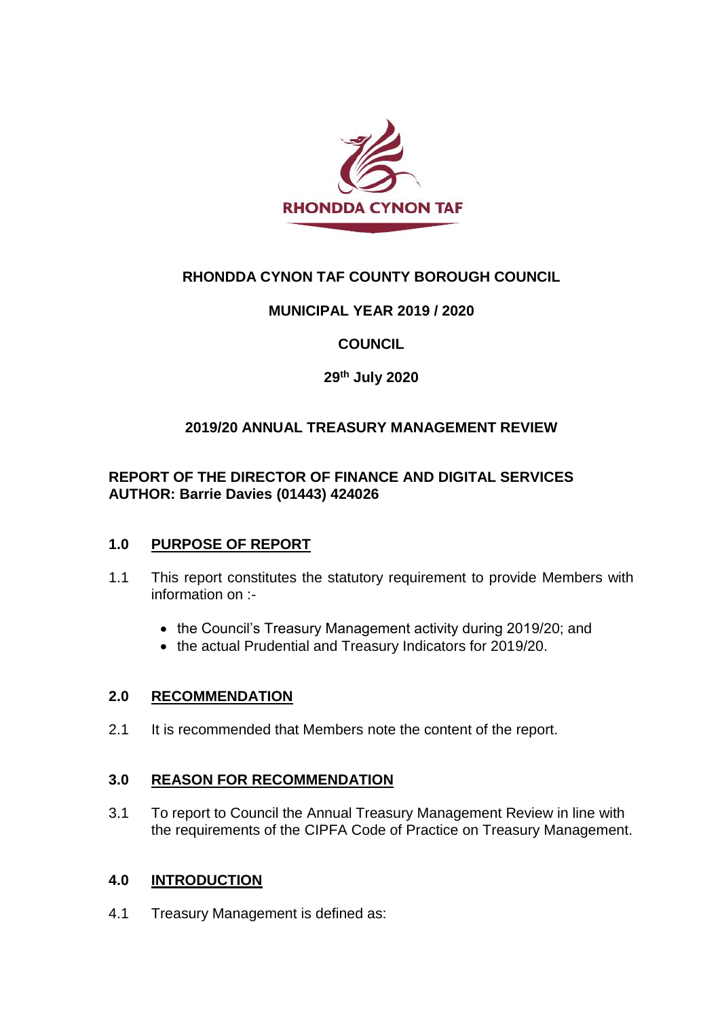

# **RHONDDA CYNON TAF COUNTY BOROUGH COUNCIL**

## **MUNICIPAL YEAR 2019 / 2020**

## **COUNCIL**

## **29th July 2020**

## **2019/20 ANNUAL TREASURY MANAGEMENT REVIEW**

## **REPORT OF THE DIRECTOR OF FINANCE AND DIGITAL SERVICES AUTHOR: Barrie Davies (01443) 424026**

### **1.0 PURPOSE OF REPORT**

- 1.1 This report constitutes the statutory requirement to provide Members with information on :-
	- the Council's Treasury Management activity during 2019/20; and
	- the actual Prudential and Treasury Indicators for 2019/20.

### **2.0 RECOMMENDATION**

2.1 It is recommended that Members note the content of the report.

### **3.0 REASON FOR RECOMMENDATION**

3.1 To report to Council the Annual Treasury Management Review in line with the requirements of the CIPFA Code of Practice on Treasury Management.

### **4.0 INTRODUCTION**

4.1 Treasury Management is defined as: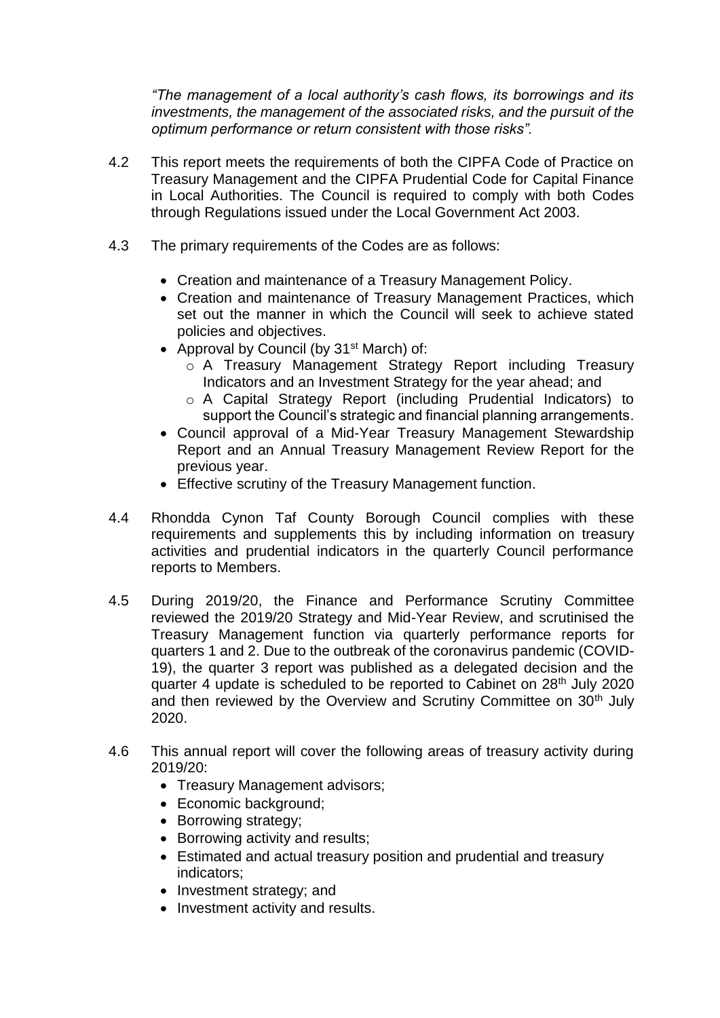*"The management of a local authority's cash flows, its borrowings and its investments, the management of the associated risks, and the pursuit of the optimum performance or return consistent with those risks".*

- 4.2 This report meets the requirements of both the CIPFA Code of Practice on Treasury Management and the CIPFA Prudential Code for Capital Finance in Local Authorities. The Council is required to comply with both Codes through Regulations issued under the Local Government Act 2003.
- 4.3 The primary requirements of the Codes are as follows:
	- Creation and maintenance of a Treasury Management Policy.
	- Creation and maintenance of Treasury Management Practices, which set out the manner in which the Council will seek to achieve stated policies and objectives.
	- Approval by Council (by 31<sup>st</sup> March) of:
		- o A Treasury Management Strategy Report including Treasury Indicators and an Investment Strategy for the year ahead; and
		- o A Capital Strategy Report (including Prudential Indicators) to support the Council's strategic and financial planning arrangements.
	- Council approval of a Mid-Year Treasury Management Stewardship Report and an Annual Treasury Management Review Report for the previous year.
	- Effective scrutiny of the Treasury Management function.
- 4.4 Rhondda Cynon Taf County Borough Council complies with these requirements and supplements this by including information on treasury activities and prudential indicators in the quarterly Council performance reports to Members.
- 4.5 During 2019/20, the Finance and Performance Scrutiny Committee reviewed the 2019/20 Strategy and Mid-Year Review, and scrutinised the Treasury Management function via quarterly performance reports for quarters 1 and 2. Due to the outbreak of the coronavirus pandemic (COVID-19), the quarter 3 report was published as a delegated decision and the quarter 4 update is scheduled to be reported to Cabinet on 28<sup>th</sup> July 2020 and then reviewed by the Overview and Scrutiny Committee on 30<sup>th</sup> July 2020.
- 4.6 This annual report will cover the following areas of treasury activity during 2019/20:
	- Treasury Management advisors;
	- Economic background;
	- Borrowing strategy;
	- Borrowing activity and results;
	- Estimated and actual treasury position and prudential and treasury indicators;
	- Investment strategy; and
	- Investment activity and results.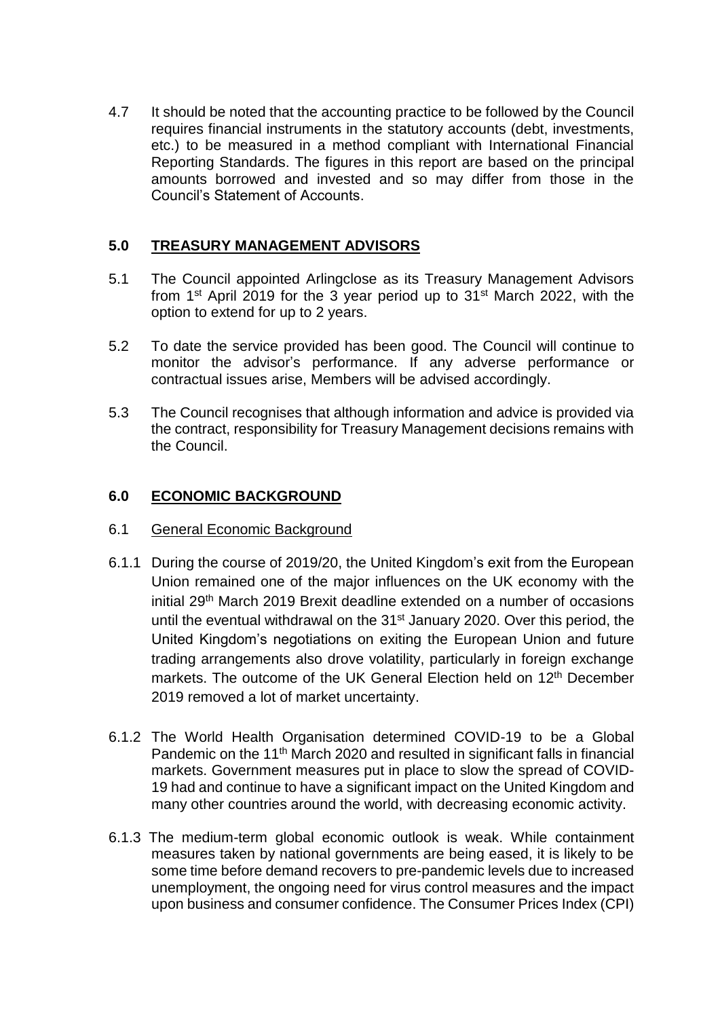4.7 It should be noted that the accounting practice to be followed by the Council requires financial instruments in the statutory accounts (debt, investments, etc.) to be measured in a method compliant with International Financial Reporting Standards. The figures in this report are based on the principal amounts borrowed and invested and so may differ from those in the Council's Statement of Accounts.

## **5.0 TREASURY MANAGEMENT ADVISORS**

- 5.1 The Council appointed Arlingclose as its Treasury Management Advisors from 1<sup>st</sup> April 2019 for the 3 year period up to 31<sup>st</sup> March 2022, with the option to extend for up to 2 years.
- 5.2 To date the service provided has been good. The Council will continue to monitor the advisor's performance. If any adverse performance or contractual issues arise, Members will be advised accordingly.
- 5.3 The Council recognises that although information and advice is provided via the contract, responsibility for Treasury Management decisions remains with the Council.

### **6.0 ECONOMIC BACKGROUND**

- 6.1 General Economic Background
- 6.1.1 During the course of 2019/20, the United Kingdom's exit from the European Union remained one of the major influences on the UK economy with the initial 29th March 2019 Brexit deadline extended on a number of occasions until the eventual withdrawal on the 31<sup>st</sup> January 2020. Over this period, the United Kingdom's negotiations on exiting the European Union and future trading arrangements also drove volatility, particularly in foreign exchange markets. The outcome of the UK General Election held on 12<sup>th</sup> December 2019 removed a lot of market uncertainty.
- 6.1.2 The World Health Organisation determined COVID-19 to be a Global Pandemic on the 11<sup>th</sup> March 2020 and resulted in significant falls in financial markets. Government measures put in place to slow the spread of COVID-19 had and continue to have a significant impact on the United Kingdom and many other countries around the world, with decreasing economic activity.
- 6.1.3 The medium-term global economic outlook is weak. While containment measures taken by national governments are being eased, it is likely to be some time before demand recovers to pre-pandemic levels due to increased unemployment, the ongoing need for virus control measures and the impact upon business and consumer confidence. The Consumer Prices Index (CPI)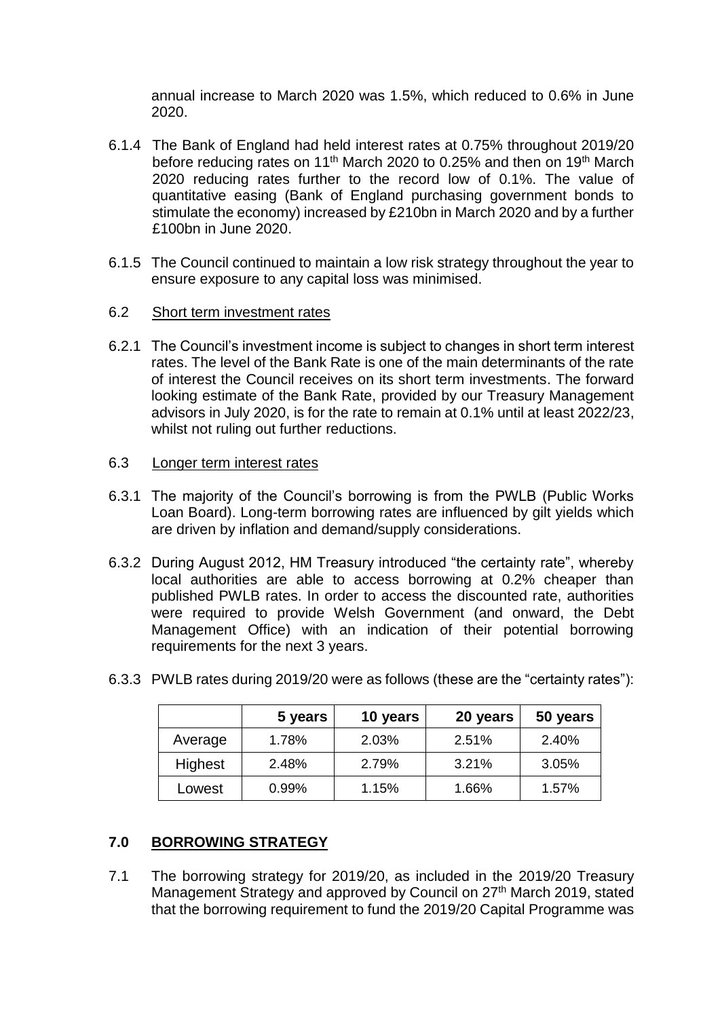annual increase to March 2020 was 1.5%, which reduced to 0.6% in June 2020.

- 6.1.4 The Bank of England had held interest rates at 0.75% throughout 2019/20 before reducing rates on 11<sup>th</sup> March 2020 to 0.25% and then on 19<sup>th</sup> March 2020 reducing rates further to the record low of 0.1%. The value of quantitative easing (Bank of England purchasing government bonds to stimulate the economy) increased by £210bn in March 2020 and by a further £100bn in June 2020.
- 6.1.5 The Council continued to maintain a low risk strategy throughout the year to ensure exposure to any capital loss was minimised.
- 6.2 Short term investment rates
- 6.2.1 The Council's investment income is subject to changes in short term interest rates. The level of the Bank Rate is one of the main determinants of the rate of interest the Council receives on its short term investments. The forward looking estimate of the Bank Rate, provided by our Treasury Management advisors in July 2020, is for the rate to remain at 0.1% until at least 2022/23, whilst not ruling out further reductions.
- 6.3 Longer term interest rates
- 6.3.1 The majority of the Council's borrowing is from the PWLB (Public Works Loan Board). Long-term borrowing rates are influenced by gilt yields which are driven by inflation and demand/supply considerations.
- 6.3.2 During August 2012, HM Treasury introduced "the certainty rate", whereby local authorities are able to access borrowing at 0.2% cheaper than published PWLB rates. In order to access the discounted rate, authorities were required to provide Welsh Government (and onward, the Debt Management Office) with an indication of their potential borrowing requirements for the next 3 years.

|         | 5 years | 10 years | 20 years | 50 years |
|---------|---------|----------|----------|----------|
| Average | 1.78%   | 2.03%    | 2.51%    | 2.40%    |
| Highest | 2.48%   | 2.79%    | 3.21%    | 3.05%    |
| Lowest  | 0.99%   | 1.15%    | 1.66%    | 1.57%    |

6.3.3 PWLB rates during 2019/20 were as follows (these are the "certainty rates"):

## **7.0 BORROWING STRATEGY**

7.1 The borrowing strategy for 2019/20, as included in the 2019/20 Treasury Management Strategy and approved by Council on 27<sup>th</sup> March 2019, stated that the borrowing requirement to fund the 2019/20 Capital Programme was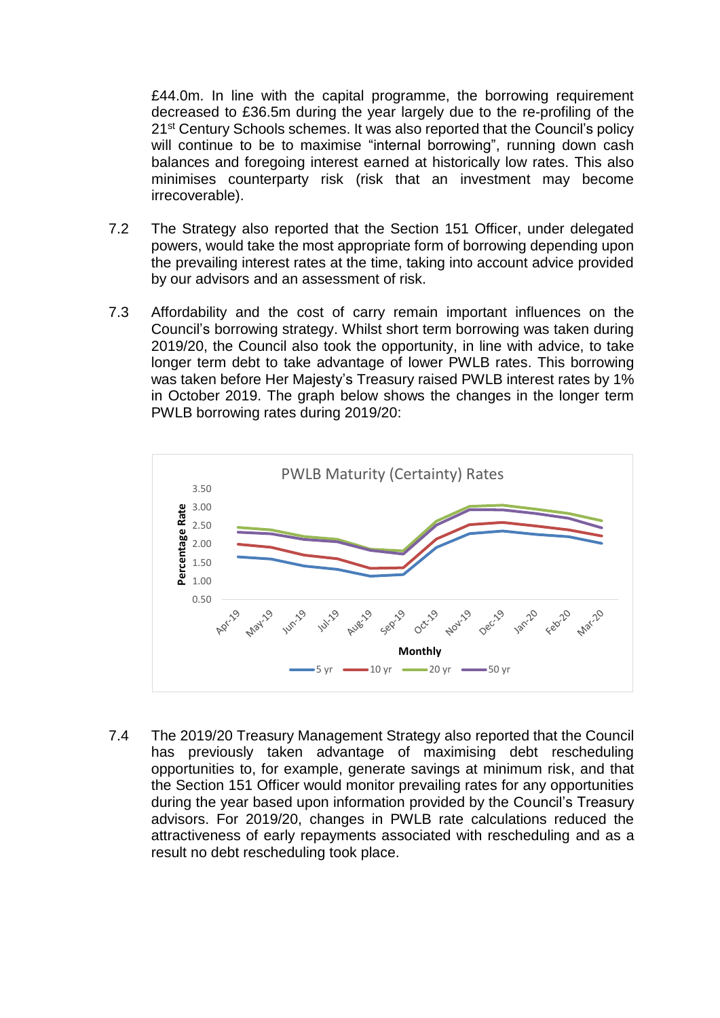£44.0m. In line with the capital programme, the borrowing requirement decreased to £36.5m during the year largely due to the re-profiling of the 21<sup>st</sup> Century Schools schemes. It was also reported that the Council's policy will continue to be to maximise "internal borrowing", running down cash balances and foregoing interest earned at historically low rates. This also minimises counterparty risk (risk that an investment may become irrecoverable).

- 7.2 The Strategy also reported that the Section 151 Officer, under delegated powers, would take the most appropriate form of borrowing depending upon the prevailing interest rates at the time, taking into account advice provided by our advisors and an assessment of risk.
- 7.3 Affordability and the cost of carry remain important influences on the Council's borrowing strategy. Whilst short term borrowing was taken during 2019/20, the Council also took the opportunity, in line with advice, to take longer term debt to take advantage of lower PWLB rates. This borrowing was taken before Her Majesty's Treasury raised PWLB interest rates by 1% in October 2019. The graph below shows the changes in the longer term PWLB borrowing rates during 2019/20:



7.4 The 2019/20 Treasury Management Strategy also reported that the Council has previously taken advantage of maximising debt rescheduling opportunities to, for example, generate savings at minimum risk, and that the Section 151 Officer would monitor prevailing rates for any opportunities during the year based upon information provided by the Council's Treasury advisors. For 2019/20, changes in PWLB rate calculations reduced the attractiveness of early repayments associated with rescheduling and as a result no debt rescheduling took place.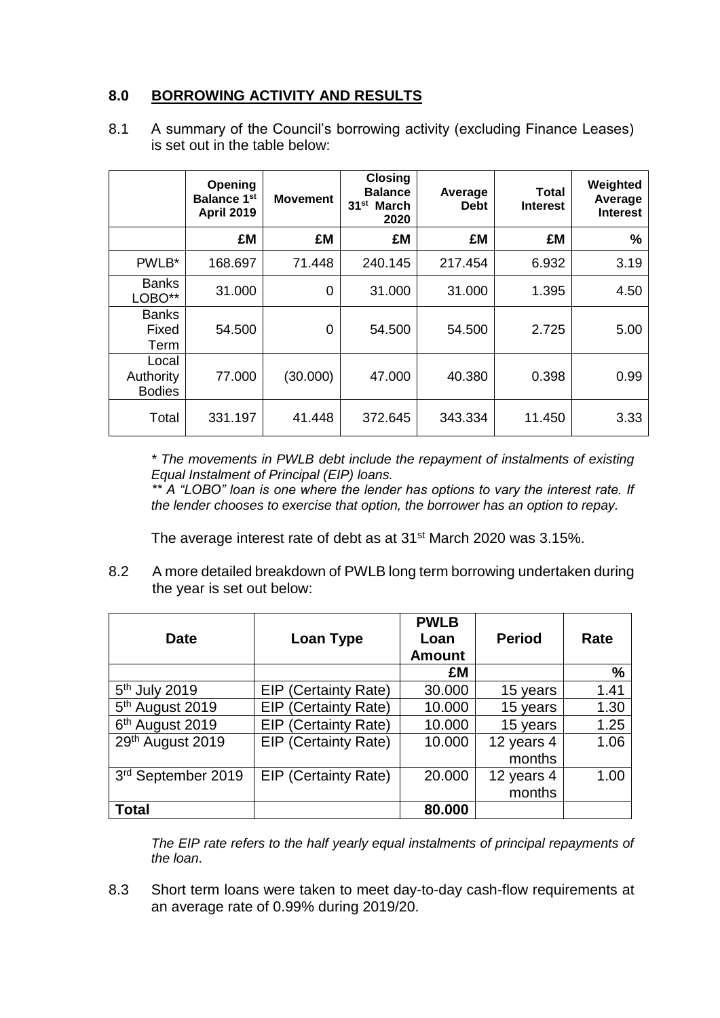# **8.0 BORROWING ACTIVITY AND RESULTS**

8.1 A summary of the Council's borrowing activity (excluding Finance Leases) is set out in the table below:

|                                     | Opening<br><b>Balance 1st</b><br><b>April 2019</b> | <b>Movement</b> | <b>Closing</b><br><b>Balance</b><br>31 <sup>st</sup> March<br>2020 | Average<br><b>Debt</b> | Total<br><b>Interest</b> | Weighted<br>Average<br><b>Interest</b> |
|-------------------------------------|----------------------------------------------------|-----------------|--------------------------------------------------------------------|------------------------|--------------------------|----------------------------------------|
|                                     | £M                                                 | £M              | £M                                                                 | £M                     | £M                       | %                                      |
| PWLB*                               | 168.697                                            | 71.448          | 240.145                                                            | 217.454                | 6.932                    | 3.19                                   |
| <b>Banks</b><br>LOBO**              | 31.000                                             | 0               | 31.000                                                             | 31.000                 | 1.395                    | 4.50                                   |
| <b>Banks</b><br>Fixed<br>Term       | 54.500                                             | 0               | 54.500                                                             | 54.500                 | 2.725                    | 5.00                                   |
| Local<br>Authority<br><b>Bodies</b> | 77.000                                             | (30.000)        | 47.000                                                             | 40.380                 | 0.398                    | 0.99                                   |
| Total                               | 331.197                                            | 41.448          | 372.645                                                            | 343.334                | 11.450                   | 3.33                                   |

*\* The movements in PWLB debt include the repayment of instalments of existing Equal Instalment of Principal (EIP) loans.*

*\*\* A "LOBO" loan is one where the lender has options to vary the interest rate. If the lender chooses to exercise that option, the borrower has an option to repay.*

The average interest rate of debt as at 31st March 2020 was 3.15%.

8.2 A more detailed breakdown of PWLB long term borrowing undertaken during the year is set out below:

| <b>Date</b>                 | Loan Type                   | <b>PWLB</b><br>Loan<br><b>Amount</b> | <b>Period</b> | Rate |
|-----------------------------|-----------------------------|--------------------------------------|---------------|------|
|                             |                             | £M                                   |               | %    |
| 5 <sup>th</sup> July 2019   | <b>EIP (Certainty Rate)</b> | 30.000                               | 15 years      | 1.41 |
| 5 <sup>th</sup> August 2019 | <b>EIP (Certainty Rate)</b> | 10.000                               | 15 years      | 1.30 |
| 6 <sup>th</sup> August 2019 | <b>EIP (Certainty Rate)</b> | 10.000                               | 15 years      | 1.25 |
| 29th August 2019            | <b>EIP (Certainty Rate)</b> | 10.000                               | 12 years 4    | 1.06 |
|                             |                             |                                      | months        |      |
| 3rd September 2019          | <b>EIP (Certainty Rate)</b> | 20.000                               | 12 years 4    | 1.00 |
|                             |                             |                                      | months        |      |
| <b>Total</b>                |                             | 80.000                               |               |      |

*The EIP rate refers to the half yearly equal instalments of principal repayments of the loan*.

8.3 Short term loans were taken to meet day-to-day cash-flow requirements at an average rate of 0.99% during 2019/20.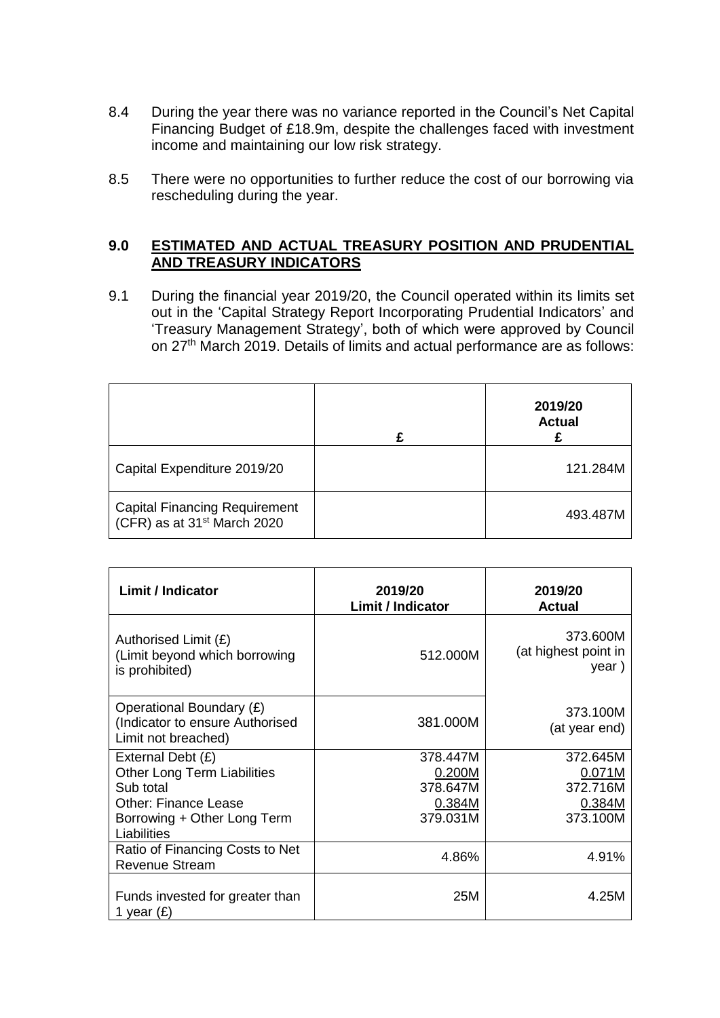- 8.4 During the year there was no variance reported in the Council's Net Capital Financing Budget of £18.9m, despite the challenges faced with investment income and maintaining our low risk strategy.
- 8.5 There were no opportunities to further reduce the cost of our borrowing via rescheduling during the year.

#### **9.0 ESTIMATED AND ACTUAL TREASURY POSITION AND PRUDENTIAL AND TREASURY INDICATORS**

9.1 During the financial year 2019/20, the Council operated within its limits set out in the 'Capital Strategy Report Incorporating Prudential Indicators' and 'Treasury Management Strategy', both of which were approved by Council on 27th March 2019. Details of limits and actual performance are as follows:

|                                                                                 | 2019/20<br><b>Actual</b> |
|---------------------------------------------------------------------------------|--------------------------|
| Capital Expenditure 2019/20                                                     | 121.284M                 |
| <b>Capital Financing Requirement</b><br>(CFR) as at 31 <sup>st</sup> March 2020 | 493.487M                 |

| <b>Limit / Indicator</b>                                                           | 2019/20<br><b>Limit / Indicator</b> | 2019/20<br>Actual                         |  |
|------------------------------------------------------------------------------------|-------------------------------------|-------------------------------------------|--|
| Authorised Limit (£)<br>(Limit beyond which borrowing<br>is prohibited)            | 512.000M                            | 373.600M<br>(at highest point in<br>year) |  |
| Operational Boundary (£)<br>(Indicator to ensure Authorised<br>Limit not breached) | 381,000M                            | 373.100M<br>(at year end)                 |  |
| External Debt (£)                                                                  | 378,447M                            | 372.645M                                  |  |
| <b>Other Long Term Liabilities</b>                                                 | 0.200M                              | 0.071M                                    |  |
| Sub total                                                                          | 378.647M                            | 372.716M                                  |  |
| <b>Other: Finance Lease</b>                                                        | 0.384M                              | 0.384M                                    |  |
| Borrowing + Other Long Term<br>Liabilities                                         | 379.031M                            | 373.100M                                  |  |
| Ratio of Financing Costs to Net<br><b>Revenue Stream</b>                           | 4.86%                               | 4.91%                                     |  |
| Funds invested for greater than<br>1 year $(E)$                                    | 25M                                 | 4.25M                                     |  |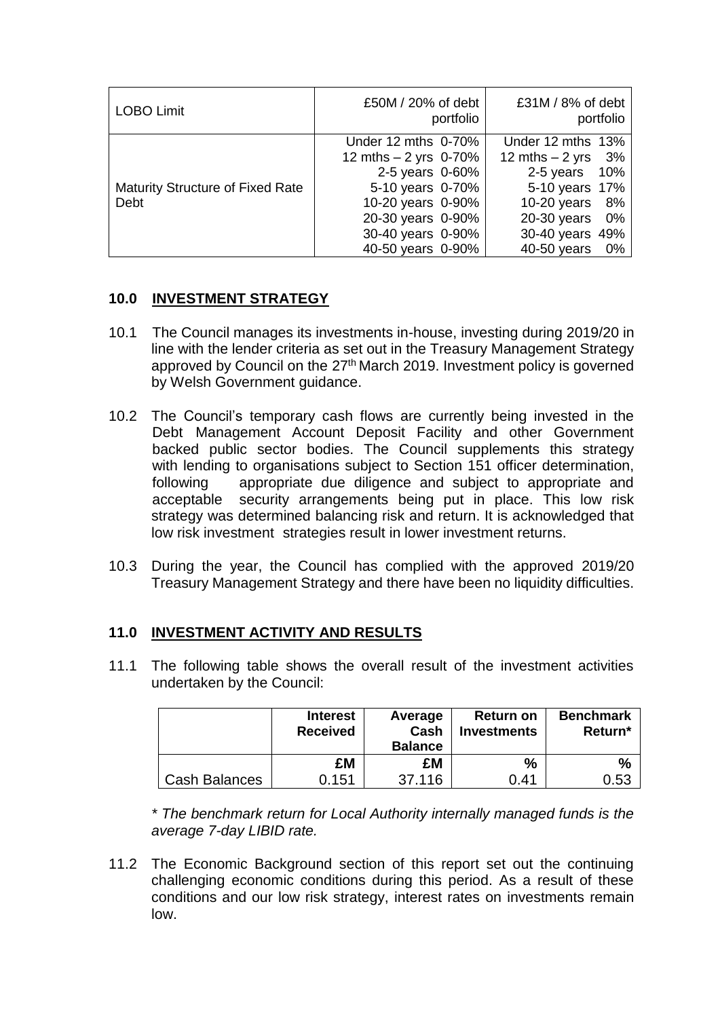| <b>LOBO Limit</b>                       | £50M / 20% of debt<br>portfolio | £31M / 8% of debt<br>portfolio |  |
|-----------------------------------------|---------------------------------|--------------------------------|--|
|                                         | Under 12 mths 0-70%             | Under 12 mths 13%              |  |
|                                         | 12 mths $-2$ yrs 0-70%          | 12 mths $-2$ yrs<br>- 3%       |  |
|                                         | 2-5 years 0-60%                 | 2-5 years<br>10%               |  |
| <b>Maturity Structure of Fixed Rate</b> | 5-10 years 0-70%                | 5-10 years 17%                 |  |
| Debt                                    | 10-20 years 0-90%               | $10-20$ years<br>8%            |  |
|                                         | 20-30 years 0-90%               | $20-30$ years<br>0%            |  |
|                                         | 30-40 years 0-90%               | 30-40 years 49%                |  |
|                                         | 40-50 years 0-90%               | 40-50 years<br>0%              |  |

## **10.0 INVESTMENT STRATEGY**

- 10.1 The Council manages its investments in-house, investing during 2019/20 in line with the lender criteria as set out in the Treasury Management Strategy approved by Council on the 27<sup>th</sup> March 2019. Investment policy is governed by Welsh Government guidance.
- 10.2 The Council's temporary cash flows are currently being invested in the Debt Management Account Deposit Facility and other Government backed public sector bodies. The Council supplements this strategy with lending to organisations subject to Section 151 officer determination, following appropriate due diligence and subject to appropriate and acceptable security arrangements being put in place. This low risk strategy was determined balancing risk and return. It is acknowledged that low risk investment strategies result in lower investment returns.
- 10.3 During the year, the Council has complied with the approved 2019/20 Treasury Management Strategy and there have been no liquidity difficulties.

### **11.0 INVESTMENT ACTIVITY AND RESULTS**

11.1 The following table shows the overall result of the investment activities undertaken by the Council:

|               | <b>Interest</b><br><b>Received</b> | Average<br>Cash<br><b>Balance</b> | <b>Return on</b><br>Investments | <b>Benchmark</b><br>Return* |
|---------------|------------------------------------|-----------------------------------|---------------------------------|-----------------------------|
|               | £M                                 | £M                                | $\%$                            | %                           |
| Cash Balances | 0.151                              | 37.116                            | 0.41                            | 0.53                        |

*\* The benchmark return for Local Authority internally managed funds is the average 7-day LIBID rate.* 

11.2 The Economic Background section of this report set out the continuing challenging economic conditions during this period. As a result of these conditions and our low risk strategy, interest rates on investments remain low.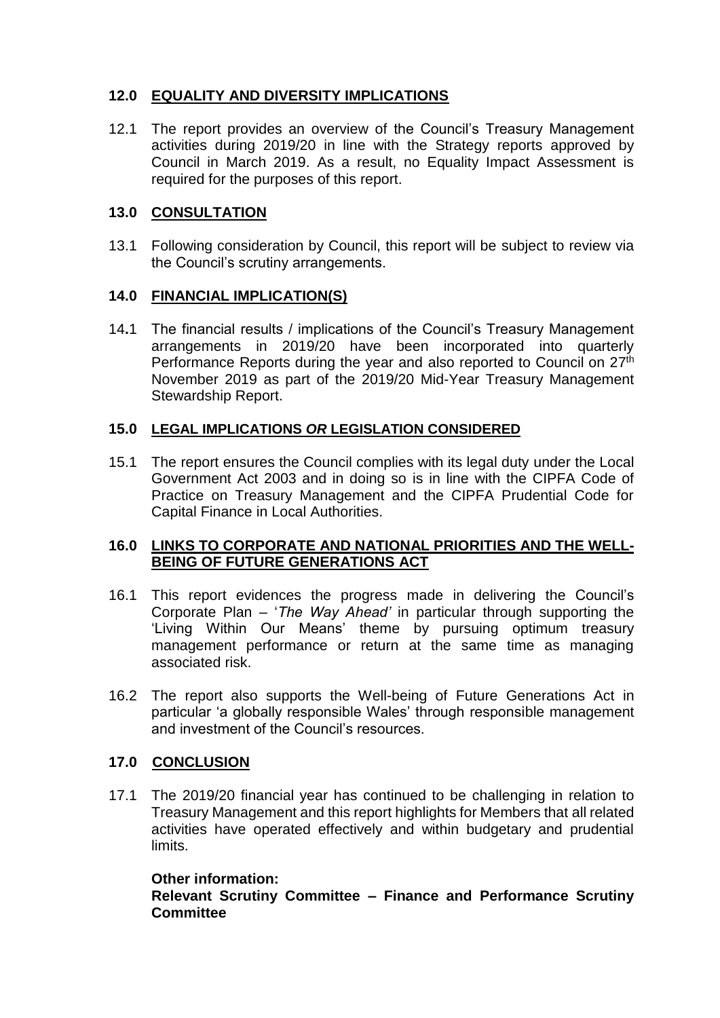# **12.0 EQUALITY AND DIVERSITY IMPLICATIONS**

12.1 The report provides an overview of the Council's Treasury Management activities during 2019/20 in line with the Strategy reports approved by Council in March 2019. As a result, no Equality Impact Assessment is required for the purposes of this report.

## **13.0 CONSULTATION**

13.1 Following consideration by Council, this report will be subject to review via the Council's scrutiny arrangements.

## **14.0 FINANCIAL IMPLICATION(S)**

14**.**1 The financial results / implications of the Council's Treasury Management arrangements in 2019/20 have been incorporated into quarterly Performance Reports during the year and also reported to Council on 27<sup>th</sup> November 2019 as part of the 2019/20 Mid-Year Treasury Management Stewardship Report.

## **15.0 LEGAL IMPLICATIONS** *OR* **LEGISLATION CONSIDERED**

15.1 The report ensures the Council complies with its legal duty under the Local Government Act 2003 and in doing so is in line with the CIPFA Code of Practice on Treasury Management and the CIPFA Prudential Code for Capital Finance in Local Authorities.

### **16.0 LINKS TO CORPORATE AND NATIONAL PRIORITIES AND THE WELL-BEING OF FUTURE GENERATIONS ACT**

- 16.1 This report evidences the progress made in delivering the Council's Corporate Plan – '*The Way Ahead'* in particular through supporting the 'Living Within Our Means' theme by pursuing optimum treasury management performance or return at the same time as managing associated risk.
- 16.2 The report also supports the Well-being of Future Generations Act in particular 'a globally responsible Wales' through responsible management and investment of the Council's resources.

### **17.0 CONCLUSION**

17.1 The 2019/20 financial year has continued to be challenging in relation to Treasury Management and this report highlights for Members that all related activities have operated effectively and within budgetary and prudential limits.

### **Other information:**

**Relevant Scrutiny Committee – Finance and Performance Scrutiny Committee**